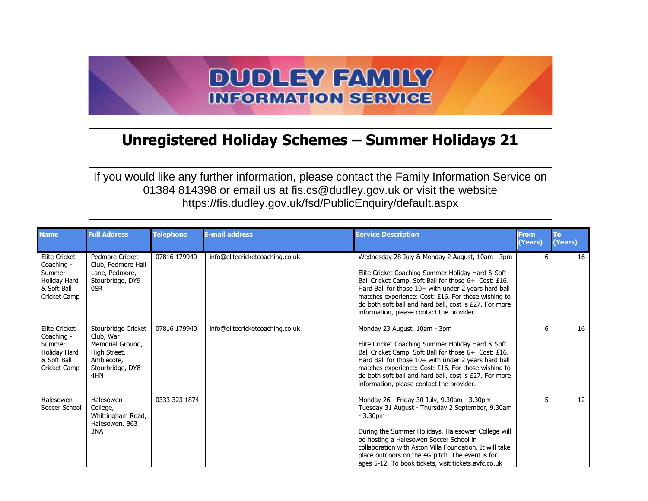## **DUDLEY FAMILY INFORMATION SERVICE**

## **Unregistered Holiday Schemes – Summer Holidays 21**

If you would like any further information, please contact the Family Information Service on 01384 814398 or email us at fis.cs@dudley.gov.uk or visit the website https://fis.dudley.gov.uk/fsd/PublicEnquiry/default.aspx

| <b>Name</b>                                                                                 | <b>Full Address</b>                                                                                           | <b>Telephone</b> | <b>E-mail address</b>           | <b>Service Description</b>                                                                                                                                                                                                                                                                                                                                                           | <b>From</b><br>(Years) | <b>To</b><br>(Years) |
|---------------------------------------------------------------------------------------------|---------------------------------------------------------------------------------------------------------------|------------------|---------------------------------|--------------------------------------------------------------------------------------------------------------------------------------------------------------------------------------------------------------------------------------------------------------------------------------------------------------------------------------------------------------------------------------|------------------------|----------------------|
| <b>Elite Cricket</b><br>Coaching -<br>Summer<br>Holiday Hard<br>& Soft Ball<br>Cricket Camp | Pedmore Cricket<br>Club, Pedmore Hall<br>Lane, Pedmore,<br>Stourbridge, DY9<br>0SR                            | 07816 179940     | info@elitecricketcoaching.co.uk | Wednesday 28 July & Monday 2 August, 10am - 3pm<br>Elite Cricket Coaching Summer Holiday Hard & Soft<br>Ball Cricket Camp. Soft Ball for those 6+. Cost: £16.<br>Hard Ball for those 10+ with under 2 years hard ball<br>matches experience: Cost: £16. For those wishing to<br>do both soft ball and hard ball, cost is £27. For more<br>information, please contact the provider.  | 6                      | 16                   |
| <b>Elite Cricket</b><br>Coaching -<br>Summer<br>Holiday Hard<br>& Soft Ball<br>Cricket Camp | Stourbridge Cricket<br>Club, War<br>Memorial Ground.<br>High Street,<br>Amblecote,<br>Stourbridge, DY8<br>4HN | 07816 179940     | info@elitecricketcoaching.co.uk | Monday 23 August, 10am - 3pm<br>Elite Cricket Coaching Summer Holiday Hard & Soft<br>Ball Cricket Camp. Soft Ball for those 6+. Cost: £16.<br>Hard Ball for those 10+ with under 2 years hard ball<br>matches experience: Cost: £16. For those wishing to<br>do both soft ball and hard ball, cost is £27. For more<br>information, please contact the provider.                     | 6                      | 16                   |
| Halesowen<br>Soccer School                                                                  | Halesowen<br>College,<br>Whittingham Road,<br>Halesowen, B63<br>3NA                                           | 0333 323 1874    |                                 | Monday 26 - Friday 30 July, 9.30am - 3.30pm<br>Tuesday 31 August - Thursday 2 September, 9.30am<br>$-3.30pm$<br>During the Summer Holidays, Halesowen College will<br>be hosting a Halesowen Soccer School in<br>collaboration with Aston Villa Foundation. It will take<br>place outdoors on the 4G pitch. The event is for<br>ages 5-12. To book tickets, visit tickets avfc.co.uk | 5                      | 12                   |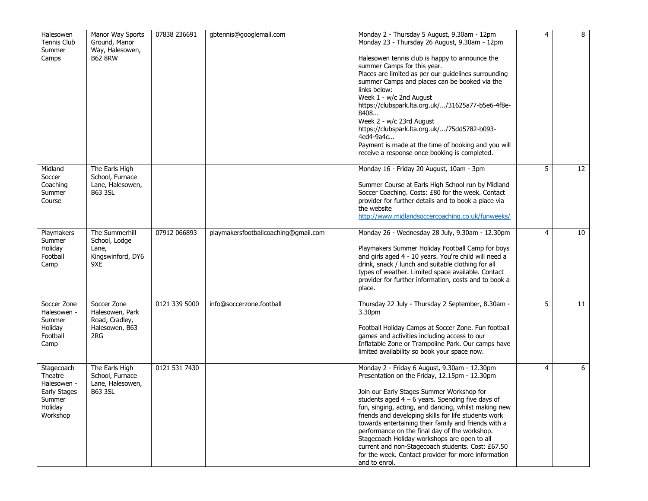| Halesowen<br>Tennis Club<br>Summer<br>Camps                                           | Manor Way Sports<br>Ground, Manor<br>Way, Halesowen,<br><b>B62 8RW</b>    | 07838 236691  | gbtennis@googlemail.com              | Monday 2 - Thursday 5 August, 9.30am - 12pm<br>Monday 23 - Thursday 26 August, 9.30am - 12pm<br>Halesowen tennis club is happy to announce the<br>summer Camps for this year.<br>Places are limited as per our guidelines surrounding<br>summer Camps and places can be booked via the<br>links below:<br>Week 1 - w/c 2nd August<br>https://clubspark.lta.org.uk//31625a77-b5e6-4f8e-<br>8408<br>Week 2 - w/c 23rd August<br>https://clubspark.lta.org.uk//75dd5782-b093-<br>4ed4-9a4c<br>Payment is made at the time of booking and you will<br>receive a response once booking is completed.        | 4 | 8               |
|---------------------------------------------------------------------------------------|---------------------------------------------------------------------------|---------------|--------------------------------------|--------------------------------------------------------------------------------------------------------------------------------------------------------------------------------------------------------------------------------------------------------------------------------------------------------------------------------------------------------------------------------------------------------------------------------------------------------------------------------------------------------------------------------------------------------------------------------------------------------|---|-----------------|
| Midland<br>Soccer<br>Coaching<br>Summer<br>Course                                     | The Earls High<br>School, Furnace<br>Lane, Halesowen,<br><b>B63 3SL</b>   |               |                                      | Monday 16 - Friday 20 August, 10am - 3pm<br>Summer Course at Earls High School run by Midland<br>Soccer Coaching. Costs: £80 for the week. Contact<br>provider for further details and to book a place via<br>the website<br>http://www.midlandsoccercoaching.co.uk/funweeks/                                                                                                                                                                                                                                                                                                                          | 5 | $\overline{12}$ |
| Playmakers<br>Summer<br>Holiday<br>Football<br>Camp                                   | The Summerhill<br>School, Lodge<br>Lane,<br>Kingswinford, DY6<br>9XE      | 07912 066893  | playmakersfootballcoaching@gmail.com | Monday 26 - Wednesday 28 July, 9.30am - 12.30pm<br>Playmakers Summer Holiday Football Camp for boys<br>and girls aged 4 - 10 years. You're child will need a<br>drink, snack / lunch and suitable clothing for all<br>types of weather. Limited space available. Contact<br>provider for further information, costs and to book a<br>place.                                                                                                                                                                                                                                                            | 4 | 10              |
| Soccer Zone<br>Halesowen -<br>Summer<br>Holiday<br>Football<br>Camp                   | Soccer Zone<br>Halesowen, Park<br>Road, Cradley,<br>Halesowen, B63<br>2RG | 0121 339 5000 | info@soccerzone.football             | Thursday 22 July - Thursday 2 September, 8.30am -<br>3.30pm<br>Football Holiday Camps at Soccer Zone. Fun football<br>games and activities including access to our<br>Inflatable Zone or Trampoline Park. Our camps have<br>limited availability so book your space now.                                                                                                                                                                                                                                                                                                                               | 5 | 11              |
| Stagecoach<br>Theatre<br>Halesowen -<br>Early Stages<br>Summer<br>Holiday<br>Workshop | The Earls High<br>School, Furnace<br>Lane, Halesowen,<br><b>B63 3SL</b>   | 0121 531 7430 |                                      | Monday 2 - Friday 6 August, 9.30am - 12.30pm<br>Presentation on the Friday, 12.15pm - 12.30pm<br>Join our Early Stages Summer Workshop for<br>students aged $4 - 6$ years. Spending five days of<br>fun, singing, acting, and dancing, whilst making new<br>friends and developing skills for life students work<br>towards entertaining their family and friends with a<br>performance on the final day of the workshop.<br>Stagecoach Holiday workshops are open to all<br>current and non-Stagecoach students. Cost: £67.50<br>for the week. Contact provider for more information<br>and to enrol. | 4 | 6               |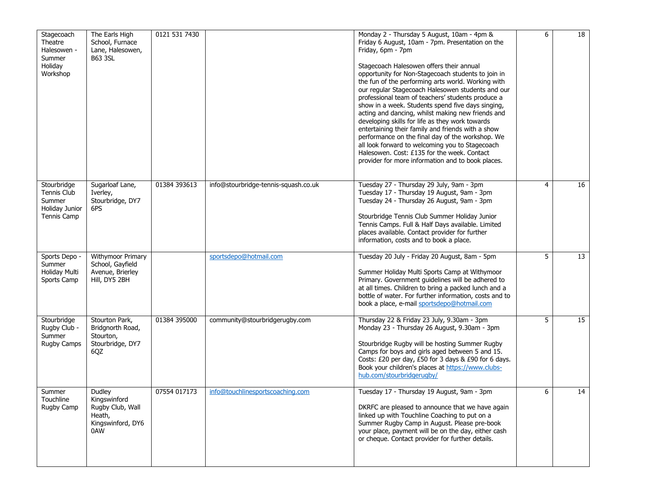| Stagecoach<br>Theatre<br>Halesowen -<br>Summer<br>Holiday<br>Workshop               | The Earls High<br>School, Furnace<br>Lane, Halesowen,<br><b>B63 3SL</b>          | 0121 531 7430 |                                      | Monday 2 - Thursday 5 August, 10am - 4pm &<br>Friday 6 August, 10am - 7pm. Presentation on the<br>Friday, 6pm - 7pm<br>Stagecoach Halesowen offers their annual<br>opportunity for Non-Stagecoach students to join in<br>the fun of the performing arts world. Working with<br>our regular Stagecoach Halesowen students and our<br>professional team of teachers' students produce a<br>show in a week. Students spend five days singing,<br>acting and dancing, whilst making new friends and<br>developing skills for life as they work towards<br>entertaining their family and friends with a show<br>performance on the final day of the workshop. We<br>all look forward to welcoming you to Stagecoach<br>Halesowen. Cost: £135 for the week. Contact<br>provider for more information and to book places. | 6 | $\overline{18}$ |
|-------------------------------------------------------------------------------------|----------------------------------------------------------------------------------|---------------|--------------------------------------|--------------------------------------------------------------------------------------------------------------------------------------------------------------------------------------------------------------------------------------------------------------------------------------------------------------------------------------------------------------------------------------------------------------------------------------------------------------------------------------------------------------------------------------------------------------------------------------------------------------------------------------------------------------------------------------------------------------------------------------------------------------------------------------------------------------------|---|-----------------|
| Stourbridge<br><b>Tennis Club</b><br>Summer<br>Holiday Junior<br><b>Tennis Camp</b> | Sugarloaf Lane,<br>Iverley,<br>Stourbridge, DY7<br>6PS                           | 01384 393613  | info@stourbridge-tennis-squash.co.uk | Tuesday 27 - Thursday 29 July, 9am - 3pm<br>Tuesday 17 - Thursday 19 August, 9am - 3pm<br>Tuesday 24 - Thursday 26 August, 9am - 3pm<br>Stourbridge Tennis Club Summer Holiday Junior<br>Tennis Camps. Full & Half Days available. Limited<br>places available. Contact provider for further<br>information, costs and to book a place.                                                                                                                                                                                                                                                                                                                                                                                                                                                                            | 4 | 16              |
| Sports Depo -<br>Summer<br>Holiday Multi<br>Sports Camp                             | Withymoor Primary<br>School, Gayfield<br>Avenue, Brierley<br>Hill, DY5 2BH       |               | sportsdepo@hotmail.com               | Tuesday 20 July - Friday 20 August, 8am - 5pm<br>Summer Holiday Multi Sports Camp at Withymoor<br>Primary. Government guidelines will be adhered to<br>at all times. Children to bring a packed lunch and a<br>bottle of water. For further information, costs and to<br>book a place, e-mail sportsdepo@hotmail.com                                                                                                                                                                                                                                                                                                                                                                                                                                                                                               | 5 | 13              |
| Stourbridge<br>Rugby Club -<br>Summer<br><b>Rugby Camps</b>                         | Stourton Park,<br>Bridgnorth Road,<br>Stourton,<br>Stourbridge, DY7<br>6QZ       | 01384 395000  | community@stourbridgerugby.com       | Thursday 22 & Friday 23 July, 9.30am - 3pm<br>Monday 23 - Thursday 26 August, 9.30am - 3pm<br>Stourbridge Rugby will be hosting Summer Rugby<br>Camps for boys and girls aged between 5 and 15.<br>Costs: £20 per day, £50 for 3 days & £90 for 6 days.<br>Book your children's places at https://www.clubs-<br>hub.com/stourbridgerugby/                                                                                                                                                                                                                                                                                                                                                                                                                                                                          | 5 | 15              |
| Summer<br>Touchline<br>Rugby Camp                                                   | Dudley<br>Kingswinford<br>Rugby Club, Wall<br>Heath,<br>Kingswinford, DY6<br>0AW | 07554 017173  | info@touchlinesportscoaching.com     | Tuesday 17 - Thursday 19 August, 9am - 3pm<br>DKRFC are pleased to announce that we have again<br>linked up with Touchline Coaching to put on a<br>Summer Rugby Camp in August. Please pre-book<br>your place, payment will be on the day, either cash<br>or cheque. Contact provider for further details.                                                                                                                                                                                                                                                                                                                                                                                                                                                                                                         | 6 | 14              |